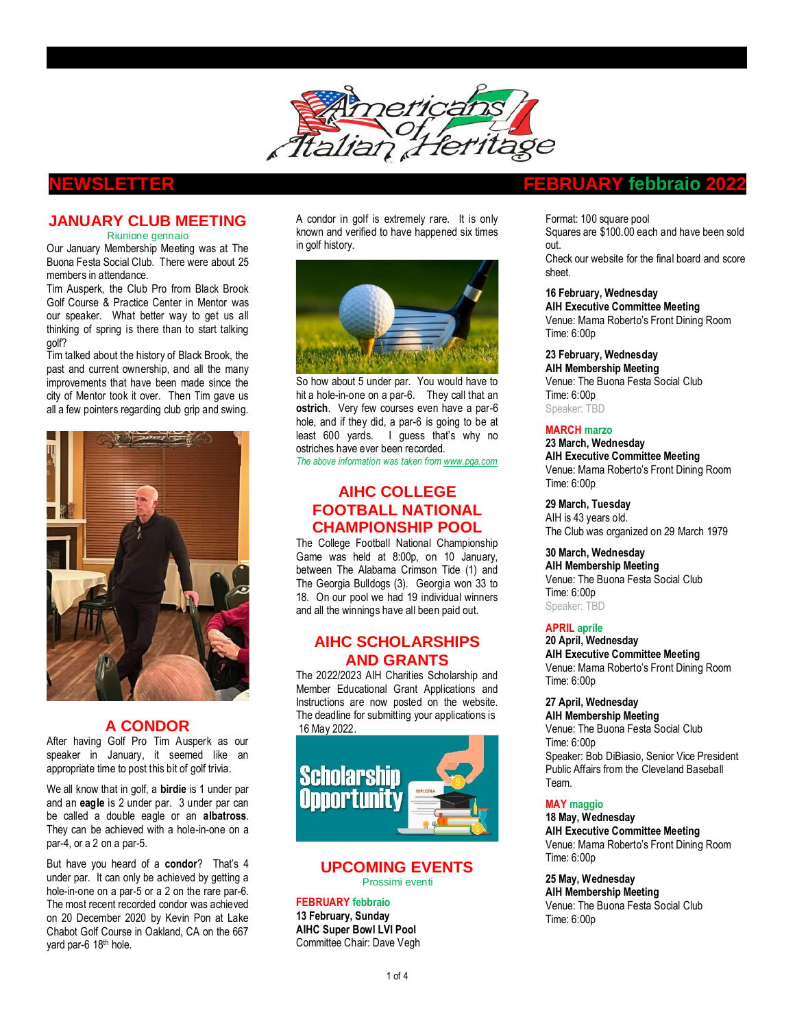

### **JANUARY CLUB MEETING**  Riunione gennaio

Our January Membership Meeting was at The Buona Festa Social Club. There were about 25 members in attendance.

Tim Ausperk, the Club Pro from Black Brook Golf Course & Practice Center in Mentor was our speaker. What better way to get us all thinking of spring is there than to start talking golf?

Tim talked about the history of Black Brook, the past and current ownership, and all the many improvements that have been made since the city of Mentor took it over. Then Tim gave us all a few pointers regarding club grip and swing.



# **A CONDOR**

After having Golf Pro Tim Ausperk as our speaker in January, it seemed like an appropriate time to post this bit of golf trivia.

We all know that in golf, a **birdie** is 1 under par and an **eagle** is 2 under par. 3 under par can be called a double eagle or an **albatross**. They can be achieved with a hole-in-one on a par-4, or a 2 on a par-5.

But have you heard of a **condor**? That's 4 under par. It can only be achieved by getting a hole-in-one on a par-5 or a 2 on the rare par-6. The most recent recorded condor was achieved on 20 December 2020 by Kevin Pon at Lake Chabot Golf Course in Oakland, CA on the 667 yard par-6 18th hole.

A condor in golf is extremely rare. It is only known and verified to have happened six times in golf history.



So how about 5 under par. You would have to hit a hole-in-one on a par-6. They call that an **ostrich**. Very few courses even have a par-6 hole, and if they did, a par-6 is going to be at least 600 yards. I guess that's why no ostriches have ever been recorded.

*The above information was taken fro[m www.pga.com](http://www.pga.com/)*

# **AIHC COLLEGE FOOTBALL NATIONAL CHAMPIONSHIP POOL**

The College Football National Championship Game was held at 8:00p, on 10 January, between The Alabama Crimson Tide (1) and The Georgia Bulldogs (3). Georgia won 33 to 18. On our pool we had 19 individual winners and all the winnings have all been paid out.

# **AIHC SCHOLARSHIPS AND GRANTS**

The 2022/2023 AIH Charities Scholarship and Member Educational Grant Applications and Instructions are now posted on the website. The deadline for submitting your applications is 16 May 2022.



### **UPCOMING EVENTS** Prossimi eventi

**FEBRUARY febbraio 13 February, Sunday AIHC Super Bowl LVI Pool** Committee Chair: Dave Vegh

# **NEWSLETTER FEBRUARY febbraio 2022**

Format: 100 square pool Squares are \$100.00 each and have been sold out. Check our website for the final board and score sheet.

**16 February, Wednesday AIH Executive Committee Meeting** Venue: Mama Roberto's Front Dining Room Time: 6:00p

**23 February, Wednesday AIH Membership Meeting** Venue: The Buona Festa Social Club Time: 6:00p Speaker: TBD

## **MARCH marzo**

**23 March, Wednesday AIH Executive Committee Meeting** Venue: Mama Roberto's Front Dining Room Time: 6:00p

**29 March, Tuesday** AIH is 43 years old. The Club was organized on 29 March 1979

**30 March, Wednesday**

**AIH Membership Meeting** Venue: The Buona Festa Social Club Time: 6:00p Speaker: TBD

## **APRIL aprile**

**20 April, Wednesday AIH Executive Committee Meeting** Venue: Mama Roberto's Front Dining Room Time: 6:00p

**27 April, Wednesday**

**AIH Membership Meeting** Venue: The Buona Festa Social Club Time: 6:00p Speaker: Bob DiBiasio, Senior Vice President Public Affairs from the Cleveland Baseball Team.

## **MAY maggio**

**18 May, Wednesday AIH Executive Committee Meeting** Venue: Mama Roberto's Front Dining Room Time: 6:00p

**25 May, Wednesday AIH Membership Meeting** Venue: The Buona Festa Social Club Time: 6:00p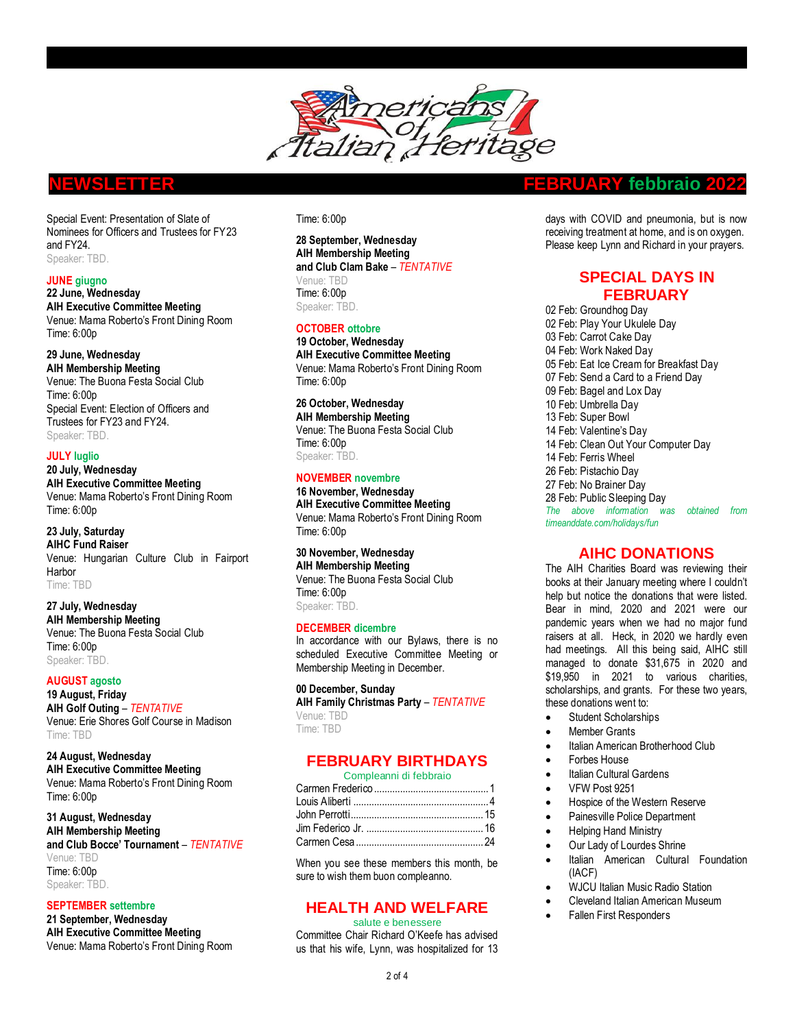

Special Event: Presentation of Slate of Nominees for Officers and Trustees for FY23 and FY24. Speaker: TBD.

# **JUNE giugno**

**22 June, Wednesday AIH Executive Committee Meeting** Venue: Mama Roberto's Front Dining Room Time: 6:00p

### **29 June, Wednesday**

**AIH Membership Meeting** Venue: The Buona Festa Social Club Time: 6:00p Special Event: Election of Officers and Trustees for FY23 and FY24. Speaker: TBD.

## **JULY luglio**

**20 July, Wednesday AIH Executive Committee Meeting** Venue: Mama Roberto's Front Dining Room Time: 6:00p

# **23 July, Saturday**

**AIHC Fund Raiser**  Venue: Hungarian Culture Club in Fairport Harbor Time: TBD

**27 July, Wednesday AIH Membership Meeting** Venue: The Buona Festa Social Club Time: 6:00p Speaker: TBD.

### **AUGUST agosto 19 August, Friday AIH Golf Outing** – *TENTATIVE* Venue: Erie Shores Golf Course in Madison Time: TBD

**24 August, Wednesday AIH Executive Committee Meeting** Venue: Mama Roberto's Front Dining Room Time: 6:00p

**31 August, Wednesday AIH Membership Meeting and Club Bocce' Tournament** – *TENTATIVE* Venue: TBD Time: 6:00p Speaker: TBD.

## **SEPTEMBER settembre**

**21 September, Wednesday AIH Executive Committee Meeting** Venue: Mama Roberto's Front Dining Room

### Time: 6:00p

**28 September, Wednesday AIH Membership Meeting and Club Clam Bake** – *TENTATIVE* Venue: TBD Time: 6:00p Speaker: TBD.

### **OCTOBER ottobre**

**19 October, Wednesday AIH Executive Committee Meeting** Venue: Mama Roberto's Front Dining Room Time: 6:00p

# **26 October, Wednesday**

**AIH Membership Meeting** Venue: The Buona Festa Social Club Time: 6:00p Speaker: TBD.

# **NOVEMBER novembre**

**16 November, Wednesday AIH Executive Committee Meeting** Venue: Mama Roberto's Front Dining Room Time: 6:00p

**30 November, Wednesday AIH Membership Meeting** Venue: The Buona Festa Social Club Time: 6:00p Speaker: TBD.

## **DECEMBER dicembre**

In accordance with our Bylaws, there is no scheduled Executive Committee Meeting or Membership Meeting in December.

## **00 December, Sunday**

**AIH Family Christmas Party** – *TENTATIVE* Venue: TBD Time: TBD

# **FEBRUARY BIRTHDAYS**

### Compleanni di febbraio

When you see these members this month, be sure to wish them buon compleanno.

# **HEALTH AND WELFARE**

salute e benessere Committee Chair Richard O'Keefe has advised

# us that his wife, Lynn, was hospitalized for 13

# **NEWSLETTER FEBRUARY febbraio 2022**

days with COVID and pneumonia, but is now receiving treatment at home, and is on oxygen. Please keep Lynn and Richard in your prayers.

# **SPECIAL DAYS IN FEBRUARY**

 Feb: Groundhog Day Feb: Play Your Ukulele Day Feb: Carrot Cake Day Feb: Work Naked Day Feb: Eat Ice Cream for Breakfast Day Feb: Send a Card to a Friend Day Feb: Bagel and Lox Day 10 Feb: Umbrella Day Feb: Super Bowl Feb: Valentine's Day Feb: Clean Out Your Computer Day Feb: Ferris Wheel Feb: Pistachio Day Feb: No Brainer Day Feb: Public Sleeping Day *The above information was obtained from timeanddate.com/holidays/fun* 

# **AIHC DONATIONS**

The AIH Charities Board was reviewing their books at their January meeting where I couldn't help but notice the donations that were listed. Bear in mind, 2020 and 2021 were our pandemic years when we had no major fund raisers at all. Heck, in 2020 we hardly even had meetings. All this being said, AIHC still managed to donate \$31,675 in 2020 and \$19,950 in 2021 to various charities, scholarships, and grants. For these two years, these donations went to:

- Student Scholarships
- Member Grants
- Italian American Brotherhood Club
- Forbes House
- **Italian Cultural Gardens**
- VFW Post 9251
- Hospice of the Western Reserve
- Painesville Police Department
- Helping Hand Ministry
- Our Lady of Lourdes Shrine
- Italian American Cultural Foundation (IACF)
- WJCU Italian Music Radio Station
- Cleveland Italian American Museum
- Fallen First Responders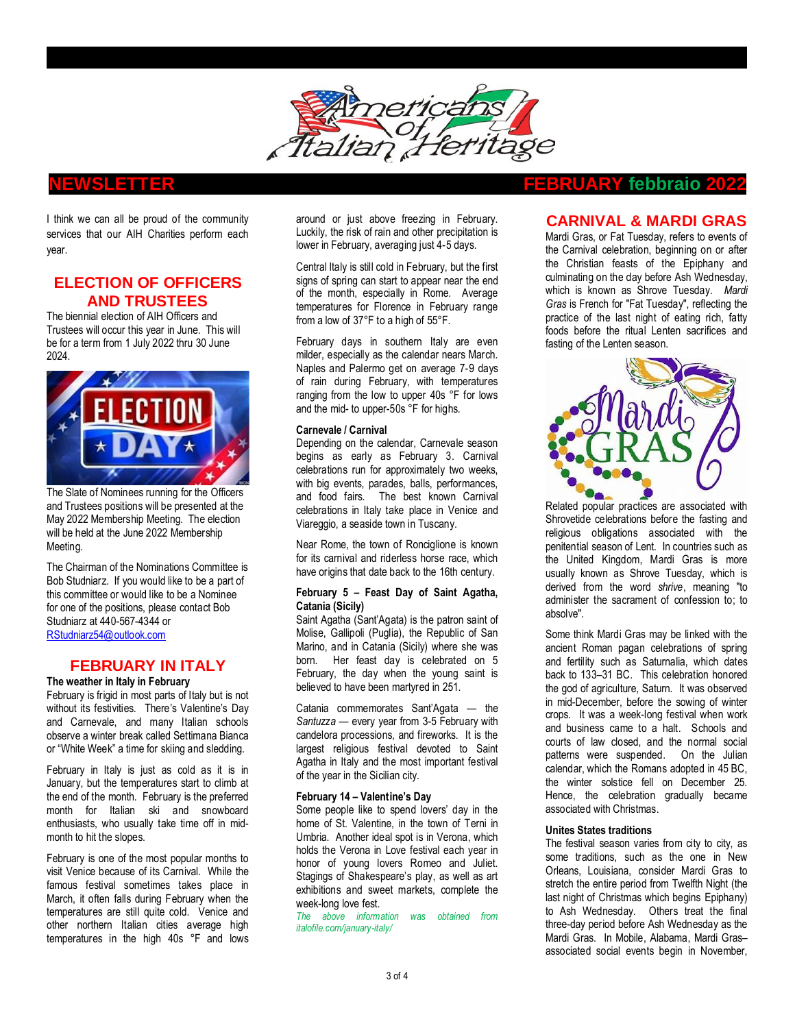

I think we can all be proud of the community services that our AIH Charities perform each year.

# **ELECTION OF OFFICERS AND TRUSTEES**

The biennial election of AIH Officers and Trustees will occur this year in June. This will be for a term from 1 July 2022 thru 30 June 2024.



The Slate of Nominees running for the Officers and Trustees positions will be presented at the May 2022 Membership Meeting. The election will be held at the June 2022 Membership Meeting.

The Chairman of the Nominations Committee is Bob Studniarz. If you would like to be a part of this committee or would like to be a Nominee for one of the positions, please contact Bob Studniarz at 440-567-4344 or [RStudniarz54@outlook.com](mailto:RStudniarz54@outlook.com)

# **FEBRUARY IN ITALY**

**The weather in Italy in February**

February is frigid in most parts of Italy but is not without its festivities. There's Valentine's Day and Carnevale, and many Italian schools observe a winter break called [Settimana Bianca](https://www.agriturismo.it/it/extra/dove-andare-per-la-settimana-bianca-794) or "White Week" a time for skiing and sledding.

February in Italy is just as cold as it is in [January,](https://www.italofile.com/january-italy/) but the temperatures start to climb at the end of the month. February is the preferred month for Italian ski and snowboard enthusiasts, who usually take time off in midmonth to hit the slopes.

February is one of the most popular months to visit [Venice](https://www.italofile.com/veneto/venice/) because of its [Carnival.](https://www.italofile.com/carnival-italy/) While the famous festival sometimes takes place in [March,](https://www.italofile.com/march-italy/) it often falls during February when the temperatures are still quite cold. Venice and other northern Italian cities average high temperatures in the high 40s °F and lows

around or just above freezing in February. Luckily, the risk of rain and other precipitation is lower in February, averaging just 4-5 days.

Central Italy is still cold in February, but the first signs of spring can start to appear near the end of the month, especially in Rome. Average temperatures for Florence in February range from a low of 37°F to a high of 55°F.

February days in southern Italy are even milder, especially as the calendar nears March. Naples and Palermo get on average 7-9 days of rain during February, with temperatures ranging from the low to upper 40s °F for lows and the mid- to upper-50s °F for highs.

### **Carnevale / Carnival**

Depending on the calendar, Carnevale season begins as early as February 3. [Carnival](https://www.italofile.com/carnival-italy/)  [celebrations](https://www.italofile.com/carnival-italy/) run for approximately two weeks, with big events, parades, balls, performances, and food fairs. The best known Carnival celebrations in Italy take place in [Venice](https://www.carnevale.venezia.it/) and [Viareggio,](http://viareggio.ilcarnevale.com/) a seaside town in Tuscany.

Near Rome, the town of [Ronciglione](http://www.carnevaledironciglione.com/) is known for its carnival and riderless horse race, which have origins that date back to the 16th century.

### **February 5 – Feast Day of Saint Agatha, Catania (Sicily)**

Saint Agatha (Sant'Agata) is the patron saint of Molise, Gallipoli (Puglia), the Republic of San Marino, and in Catania (Sicily) where she was born. Her feast day is celebrated on 5 February, the day when the young saint is believed to have been martyred in 251.

[Catania commemorates Sant'Agata](https://www.visitsicily.info/en/santagata-in-catania/) — the *Santuzza* — every year from 3-5 February with candelora processions, and fireworks. It is the largest religious festival devoted to Saint Agatha in Italy and the most important festival of the year in the Sicilian city.

### **February 14 – Valentine's Day**

Some people like to spend lovers' day in the home of St. Valentine, in the town of [Terni in](https://www.italofile.com/saint-valentine-terni/)  [Umbria.](https://www.italofile.com/saint-valentine-terni/) Another ideal spot is in Verona, which holds the [Verona in Love](http://www.veronainlove.com/) festival each year in honor of young lovers Romeo and Juliet. Stagings of Shakespeare's play, as well as art exhibitions and sweet markets, complete the week-long love fest.

*The above information was obtained from italofile.com/january-italy/*

# **NEWSLETTER FEBRUARY febbraio 2022**

# **CARNIVAL & MARDI GRAS**

Mardi Gras, or Fat Tuesday, refers to events of the [Carnival](https://en.wikipedia.org/wiki/Carnival) celebration, beginning on or after the Christian feasts of the [Epiphany](https://en.wikipedia.org/wiki/Epiphany_(holiday)) and culminating on the day before [Ash Wednesday,](https://en.wikipedia.org/wiki/Ash_Wednesday) which is known as [Shrove Tuesday.](https://en.wikipedia.org/wiki/Shrove_Tuesday) *Mardi Gras* i[s French](https://en.wikipedia.org/wiki/French_language) for "Fat Tuesday", reflecting the practice of the last night of eating rich, fatty foods before the ritual [Lenten sacrifices](https://en.wikipedia.org/wiki/Lenten_sacrifice) and [fasting](https://en.wikipedia.org/wiki/Fasting) of th[e Lenten](https://en.wikipedia.org/wiki/Lent) season.



Related popular practices are associated with [Shrovetide](https://en.wikipedia.org/wiki/Shrovetide) celebrations before the fasting and religious obligations associated with the [penitential](https://en.wikipedia.org/wiki/Penitential) season of Lent. In countries such as the [United Kingdom,](https://en.wikipedia.org/wiki/United_Kingdom) Mardi Gras is more usually known as Shrove Tuesday, which is derived from the word *shrive*, meaning "to administer the sacrament of [confession](https://en.wikipedia.org/wiki/Confession_(religion)) to; to absolve".

Some think Mardi Gras may be linked with the ancient Roman [pagan](https://en.wikipedia.org/wiki/Paganism) celebrations of spring and fertility such as [Saturnalia,](https://en.wikipedia.org/wiki/Saturnalia) which dates back to 133–31 [BC.](https://en.wikipedia.org/wiki/Anno_Domini) This celebration honored the god of agriculture, Saturn. It was observed in mid-December, before the sowing of winter crops. It was a week-long festival when work and business came to a halt. Schools and courts of law closed, and the normal social patterns were suspended. On the [Julian](https://en.wikipedia.org/wiki/Julian_calendar)  [calendar,](https://en.wikipedia.org/wiki/Julian_calendar) which the Romans adopted in 45 BC, the winter solstice fell on December 25. Hence, the celebration gradually became associated with Christmas.

### **Unites States traditions**

The festival season varies from city to city, as some traditions, such as the one in [New](https://en.wikipedia.org/wiki/New_Orleans)  [Orleans,](https://en.wikipedia.org/wiki/New_Orleans) [Louisiana,](https://en.wikipedia.org/wiki/Louisiana) consider Mardi Gras to stretch the entire period fro[m Twelfth Night](https://en.wikipedia.org/wiki/Twelfth_Night_(holiday)) (the last night of Christmas which begins [Epiphany\)](https://en.wikipedia.org/wiki/Epiphany_(holiday)) to Ash Wednesday. Others treat the final three-day period before Ash Wednesday as the Mardi Gras. In [Mobile,](https://en.wikipedia.org/wiki/Mardi_Gras_in_Mobile) [Alabama,](https://en.wikipedia.org/wiki/Alabama) Mardi Gras– associated social events begin in November,